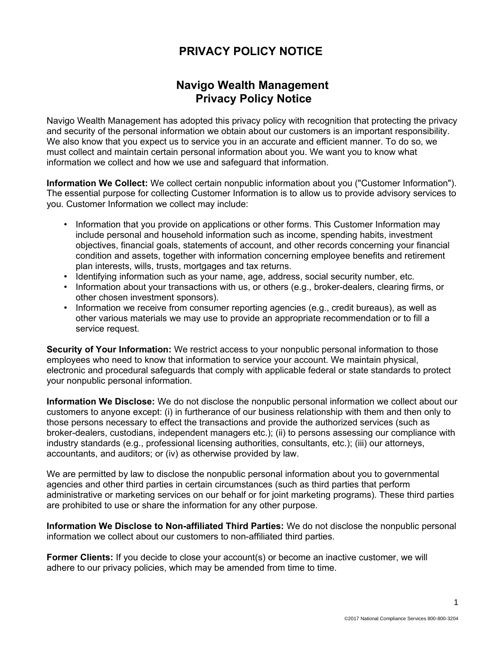## **PRIVACY POLICY NOTICE**

## **Navigo Wealth Management Privacy Policy Notice**

Navigo Wealth Management has adopted this privacy policy with recognition that protecting the privacy and security of the personal information we obtain about our customers is an important responsibility. We also know that you expect us to service you in an accurate and efficient manner. To do so, we must collect and maintain certain personal information about you. We want you to know what information we collect and how we use and safeguard that information.

**Information We Collect:** We collect certain nonpublic information about you ("Customer Information"). The essential purpose for collecting Customer Information is to allow us to provide advisory services to you. Customer Information we collect may include:

- Information that you provide on applications or other forms. This Customer Information may include personal and household information such as income, spending habits, investment objectives, financial goals, statements of account, and other records concerning your financial condition and assets, together with information concerning employee benefits and retirement plan interests, wills, trusts, mortgages and tax returns.
- Identifying information such as your name, age, address, social security number, etc.
- Information about your transactions with us, or others (e.g., broker-dealers, clearing firms, or other chosen investment sponsors).
- Information we receive from consumer reporting agencies (e.g., credit bureaus), as well as other various materials we may use to provide an appropriate recommendation or to fill a service request.

**Security of Your Information:** We restrict access to your nonpublic personal information to those employees who need to know that information to service your account. We maintain physical, electronic and procedural safeguards that comply with applicable federal or state standards to protect your nonpublic personal information.

**Information We Disclose:** We do not disclose the nonpublic personal information we collect about our customers to anyone except: (i) in furtherance of our business relationship with them and then only to those persons necessary to effect the transactions and provide the authorized services (such as broker-dealers, custodians, independent managers etc.); (ii) to persons assessing our compliance with industry standards (e.g., professional licensing authorities, consultants, etc.); (iii) our attorneys, accountants, and auditors; or (iv) as otherwise provided by law.

We are permitted by law to disclose the nonpublic personal information about you to governmental agencies and other third parties in certain circumstances (such as third parties that perform administrative or marketing services on our behalf or for joint marketing programs). These third parties are prohibited to use or share the information for any other purpose.

**Information We Disclose to Non-affiliated Third Parties:** We do not disclose the nonpublic personal information we collect about our customers to non-affiliated third parties.

**Former Clients:** If you decide to close your account(s) or become an inactive customer, we will adhere to our privacy policies, which may be amended from time to time.